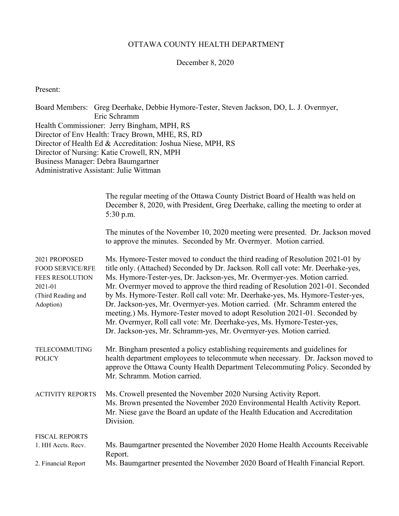#### OTTAWA COUNTY HEALTH DEPARTMENT

#### December 8, 2020

Present:

Board Members: Greg Deerhake, Debbie Hymore-Tester, Steven Jackson, DO, L. J. Overmyer, Eric Schramm Health Commissioner: Jerry Bingham, MPH, RS Director of Env Health: Tracy Brown, MHE, RS, RD Director of Health Ed & Accreditation: Joshua Niese, MPH, RS Director of Nursing: Katie Crowell, RN, MPH Business Manager: Debra Baumgartner Administrative Assistant: Julie Wittman

|                                                                                                                  | The regular meeting of the Ottawa County District Board of Health was held on<br>December 8, 2020, with President, Greg Deerhake, calling the meeting to order at<br>5:30 p.m.                                                                                                                                                                                                                                                                                                                                                                                                                                                                                                                                                     |
|------------------------------------------------------------------------------------------------------------------|------------------------------------------------------------------------------------------------------------------------------------------------------------------------------------------------------------------------------------------------------------------------------------------------------------------------------------------------------------------------------------------------------------------------------------------------------------------------------------------------------------------------------------------------------------------------------------------------------------------------------------------------------------------------------------------------------------------------------------|
|                                                                                                                  | The minutes of the November 10, 2020 meeting were presented. Dr. Jackson moved<br>to approve the minutes. Seconded by Mr. Overmyer. Motion carried.                                                                                                                                                                                                                                                                                                                                                                                                                                                                                                                                                                                |
| 2021 PROPOSED<br><b>FOOD SERVICE/RFE</b><br><b>FEES RESOLUTION</b><br>2021-01<br>(Third Reading and<br>Adoption) | Ms. Hymore-Tester moved to conduct the third reading of Resolution 2021-01 by<br>title only. (Attached) Seconded by Dr. Jackson. Roll call vote: Mr. Deerhake-yes,<br>Ms. Hymore-Tester-yes, Dr. Jackson-yes, Mr. Overmyer-yes. Motion carried.<br>Mr. Overmyer moved to approve the third reading of Resolution 2021-01. Seconded<br>by Ms. Hymore-Tester. Roll call vote: Mr. Deerhake-yes, Ms. Hymore-Tester-yes,<br>Dr. Jackson-yes, Mr. Overmyer-yes. Motion carried. (Mr. Schramm entered the<br>meeting.) Ms. Hymore-Tester moved to adopt Resolution 2021-01. Seconded by<br>Mr. Overmyer, Roll call vote: Mr. Deerhake-yes, Ms. Hymore-Tester-yes,<br>Dr. Jackson-yes, Mr. Schramm-yes, Mr. Overmyer-yes. Motion carried. |
| TELECOMMUTING<br><b>POLICY</b>                                                                                   | Mr. Bingham presented a policy establishing requirements and guidelines for<br>health department employees to telecommute when necessary. Dr. Jackson moved to<br>approve the Ottawa County Health Department Telecommuting Policy. Seconded by<br>Mr. Schramm. Motion carried.                                                                                                                                                                                                                                                                                                                                                                                                                                                    |
| <b>ACTIVITY REPORTS</b>                                                                                          | Ms. Crowell presented the November 2020 Nursing Activity Report.<br>Ms. Brown presented the November 2020 Environmental Health Activity Report.<br>Mr. Niese gave the Board an update of the Health Education and Accreditation<br>Division.                                                                                                                                                                                                                                                                                                                                                                                                                                                                                       |
| <b>FISCAL REPORTS</b><br>1. HH Accts. Recv.                                                                      | Ms. Baumgartner presented the November 2020 Home Health Accounts Receivable<br>Report.                                                                                                                                                                                                                                                                                                                                                                                                                                                                                                                                                                                                                                             |
| 2. Financial Report                                                                                              | Ms. Baumgartner presented the November 2020 Board of Health Financial Report.                                                                                                                                                                                                                                                                                                                                                                                                                                                                                                                                                                                                                                                      |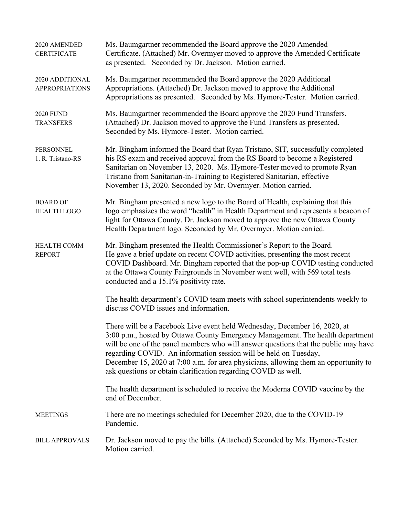| 2020 AMENDED<br><b>CERTIFICATE</b>       | Ms. Baumgartner recommended the Board approve the 2020 Amended<br>Certificate. (Attached) Mr. Overmyer moved to approve the Amended Certificate<br>as presented. Seconded by Dr. Jackson. Motion carried.                                                                                                                                                                                                                                                                       |
|------------------------------------------|---------------------------------------------------------------------------------------------------------------------------------------------------------------------------------------------------------------------------------------------------------------------------------------------------------------------------------------------------------------------------------------------------------------------------------------------------------------------------------|
| 2020 ADDITIONAL<br><b>APPROPRIATIONS</b> | Ms. Baumgartner recommended the Board approve the 2020 Additional<br>Appropriations. (Attached) Dr. Jackson moved to approve the Additional<br>Appropriations as presented. Seconded by Ms. Hymore-Tester. Motion carried.                                                                                                                                                                                                                                                      |
| <b>2020 FUND</b><br><b>TRANSFERS</b>     | Ms. Baumgartner recommended the Board approve the 2020 Fund Transfers.<br>(Attached) Dr. Jackson moved to approve the Fund Transfers as presented.<br>Seconded by Ms. Hymore-Tester. Motion carried.                                                                                                                                                                                                                                                                            |
| PERSONNEL<br>1. R. Tristano-RS           | Mr. Bingham informed the Board that Ryan Tristano, SIT, successfully completed<br>his RS exam and received approval from the RS Board to become a Registered<br>Sanitarian on November 13, 2020. Ms. Hymore-Tester moved to promote Ryan<br>Tristano from Sanitarian-in-Training to Registered Sanitarian, effective<br>November 13, 2020. Seconded by Mr. Overmyer. Motion carried.                                                                                            |
| <b>BOARD OF</b><br><b>HEALTH LOGO</b>    | Mr. Bingham presented a new logo to the Board of Health, explaining that this<br>logo emphasizes the word "health" in Health Department and represents a beacon of<br>light for Ottawa County. Dr. Jackson moved to approve the new Ottawa County<br>Health Department logo. Seconded by Mr. Overmyer. Motion carried.                                                                                                                                                          |
| <b>HEALTH COMM</b><br><b>REPORT</b>      | Mr. Bingham presented the Health Commissioner's Report to the Board.<br>He gave a brief update on recent COVID activities, presenting the most recent<br>COVID Dashboard. Mr. Bingham reported that the pop-up COVID testing conducted<br>at the Ottawa County Fairgrounds in November went well, with 569 total tests<br>conducted and a 15.1% positivity rate.                                                                                                                |
|                                          | The health department's COVID team meets with school superintendents weekly to<br>discuss COVID issues and information.                                                                                                                                                                                                                                                                                                                                                         |
|                                          | There will be a Facebook Live event held Wednesday, December 16, 2020, at<br>3:00 p.m., hosted by Ottawa County Emergency Management. The health department<br>will be one of the panel members who will answer questions that the public may have<br>regarding COVID. An information session will be held on Tuesday,<br>December 15, 2020 at 7:00 a.m. for area physicians, allowing them an opportunity to<br>ask questions or obtain clarification regarding COVID as well. |
|                                          | The health department is scheduled to receive the Moderna COVID vaccine by the<br>end of December.                                                                                                                                                                                                                                                                                                                                                                              |
| <b>MEETINGS</b>                          | There are no meetings scheduled for December 2020, due to the COVID-19<br>Pandemic.                                                                                                                                                                                                                                                                                                                                                                                             |
| <b>BILL APPROVALS</b>                    | Dr. Jackson moved to pay the bills. (Attached) Seconded by Ms. Hymore-Tester.<br>Motion carried.                                                                                                                                                                                                                                                                                                                                                                                |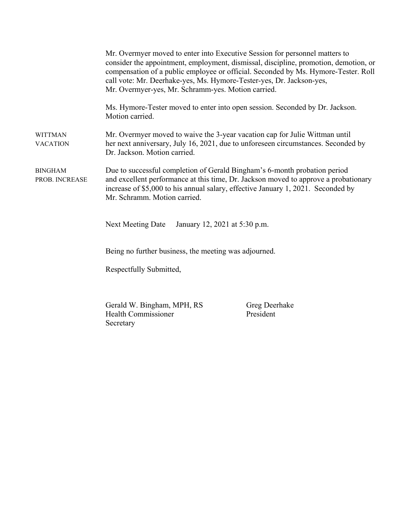|                                   | Mr. Overmyer moved to enter into Executive Session for personnel matters to<br>call vote: Mr. Deerhake-yes, Ms. Hymore-Tester-yes, Dr. Jackson-yes,<br>Mr. Overmyer-yes, Mr. Schramm-yes. Motion carried. | consider the appointment, employment, dismissal, discipline, promotion, demotion, or<br>compensation of a public employee or official. Seconded by Ms. Hymore-Tester. Roll |
|-----------------------------------|-----------------------------------------------------------------------------------------------------------------------------------------------------------------------------------------------------------|----------------------------------------------------------------------------------------------------------------------------------------------------------------------------|
|                                   | Motion carried.                                                                                                                                                                                           | Ms. Hymore-Tester moved to enter into open session. Seconded by Dr. Jackson.                                                                                               |
| <b>WITTMAN</b><br><b>VACATION</b> | Dr. Jackson. Motion carried.                                                                                                                                                                              | Mr. Overmyer moved to waive the 3-year vacation cap for Julie Wittman until<br>her next anniversary, July 16, 2021, due to unforeseen circumstances. Seconded by           |
| <b>BINGHAM</b><br>PROB. INCREASE  | Due to successful completion of Gerald Bingham's 6-month probation period<br>Mr. Schramm. Motion carried.                                                                                                 | and excellent performance at this time, Dr. Jackson moved to approve a probationary<br>increase of \$5,000 to his annual salary, effective January 1, 2021. Seconded by    |
|                                   | Next Meeting Date<br>January 12, 2021 at 5:30 p.m.                                                                                                                                                        |                                                                                                                                                                            |
|                                   | Being no further business, the meeting was adjourned.                                                                                                                                                     |                                                                                                                                                                            |
|                                   | Respectfully Submitted,                                                                                                                                                                                   |                                                                                                                                                                            |
|                                   | Gerald W. Bingham, MPH, RS<br>Health Commissioner                                                                                                                                                         | Greg Deerhake<br>President                                                                                                                                                 |

Secretary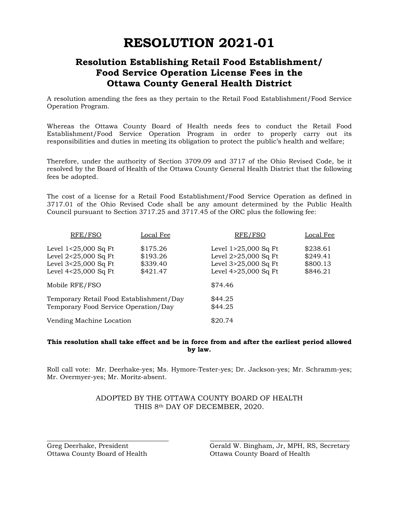# **RESOLUTION 2021-01**

## **Resolution Establishing Retail Food Establishment/ Food Service Operation License Fees in the Ottawa County General Health District**

A resolution amending the fees as they pertain to the Retail Food Establishment/Food Service Operation Program.

Whereas the Ottawa County Board of Health needs fees to conduct the Retail Food Establishment/Food Service Operation Program in order to properly carry out its responsibilities and duties in meeting its obligation to protect the public's health and welfare;

Therefore, under the authority of Section 3709.09 and 3717 of the Ohio Revised Code, be it resolved by the Board of Health of the Ottawa County General Health District that the following fees be adopted.

The cost of a license for a Retail Food Establishment/Food Service Operation as defined in 3717.01 of the Ohio Revised Code shall be any amount determined by the Public Health Council pursuant to Section 3717.25 and 3717.45 of the ORC plus the following fee:

| RFE/FSO                                                                                        | Local Fee                                    | RFE/FSO                                                                                        | Local Fee                                    |
|------------------------------------------------------------------------------------------------|----------------------------------------------|------------------------------------------------------------------------------------------------|----------------------------------------------|
| Level 1<25,000 Sq Ft<br>Level $2<25,000$ Sq Ft<br>Level 3<25,000 Sq Ft<br>Level 4<25,000 Sq Ft | \$175.26<br>\$193.26<br>\$339.40<br>\$421.47 | Level $1>25,000$ Sq Ft<br>Level 2>25,000 Sq Ft<br>Level 3>25,000 Sq Ft<br>Level 4>25,000 Sq Ft | \$238.61<br>\$249.41<br>\$800.13<br>\$846.21 |
| Mobile RFE/FSO                                                                                 |                                              | \$74.46                                                                                        |                                              |
| Temporary Retail Food Establishment/Day<br>Temporary Food Service Operation/Day                |                                              | \$44.25<br>\$44.25                                                                             |                                              |
| Vending Machine Location                                                                       |                                              | \$20.74                                                                                        |                                              |

#### **This resolution shall take effect and be in force from and after the earliest period allowed by law.**

Roll call vote: Mr. Deerhake-yes; Ms. Hymore-Tester-yes; Dr. Jackson-yes; Mr. Schramm-yes; Mr. Overmyer-yes; Mr. Moritz-absent.

#### ADOPTED BY THE OTTAWA COUNTY BOARD OF HEALTH THIS 8th DAY OF DECEMBER, 2020.

\_\_\_\_\_\_\_\_\_\_\_\_\_\_\_\_\_\_\_\_\_\_\_\_\_\_\_\_\_\_\_\_\_\_ \_\_\_\_\_\_\_\_\_\_\_\_\_\_\_\_\_\_\_\_\_\_\_\_\_\_\_\_\_\_\_\_\_\_\_\_\_\_\_

Ottawa County Board of Health Ottawa County Board of Health

Greg Deerhake, President Gerald W. Bingham, Jr, MPH, RS, Secretary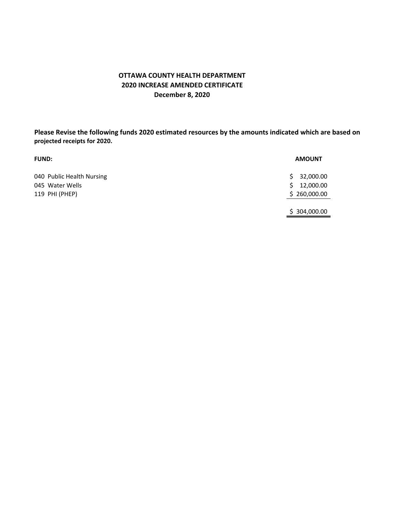### **OTTAWA COUNTY HEALTH DEPARTMENT 2020 INCREASE AMENDED CERTIFICATE December 8, 2020**

**Please Revise the following funds 2020 estimated resources by the amounts indicated which are based on projected receipts for 2020.**

| <b>FUND:</b>                                                   | <b>AMOUNT</b>                                      |
|----------------------------------------------------------------|----------------------------------------------------|
| 040 Public Health Nursing<br>045 Water Wells<br>119 PHI (PHEP) | 32,000.00<br>S.<br>12,000.00<br>S.<br>\$260,000.00 |
|                                                                | \$304,000.00                                       |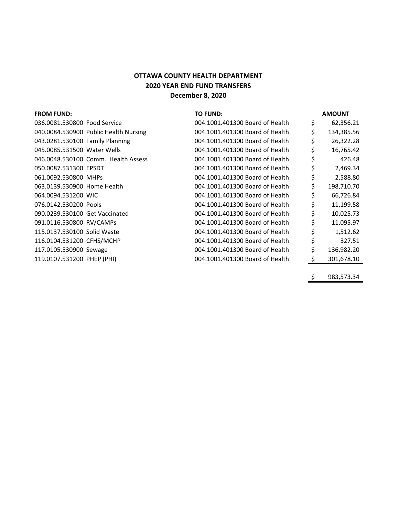## **2020 YEAR END FUND TRANSFERS December 8, 2020 OTTAWA COUNTY HEALTH DEPARTMENT**

| <b>FROM FUND:</b>               |                                       | <b>TO FUND:</b>                 | <b>AMOUNT</b>    |
|---------------------------------|---------------------------------------|---------------------------------|------------------|
| 036.0081.530800 Food Service    |                                       | 004.1001.401300 Board of Health | \$<br>62,356.21  |
|                                 | 040.0084.530900 Public Health Nursing | 004.1001.401300 Board of Health | \$<br>134,385.56 |
| 043.0281.530100 Family Planning |                                       | 004.1001.401300 Board of Health | \$<br>26,322.28  |
| 045.0085.531500 Water Wells     |                                       | 004.1001.401300 Board of Health | \$<br>16,765.42  |
|                                 | 046.0048.530100 Comm. Health Assess   | 004.1001.401300 Board of Health | \$<br>426.48     |
| 050.0087.531300 EPSDT           |                                       | 004.1001.401300 Board of Health | \$<br>2,469.34   |
| 061.0092.530800 MHPs            |                                       | 004.1001.401300 Board of Health | \$<br>2,588.80   |
| 063.0139.530900 Home Health     |                                       | 004.1001.401300 Board of Health | \$<br>198,710.70 |
| 064.0094.531200 WIC             |                                       | 004.1001.401300 Board of Health | \$<br>66,726.84  |
| 076.0142.530200 Pools           |                                       | 004.1001.401300 Board of Health | \$<br>11,199.58  |
| 090.0239.530100 Get Vaccinated  |                                       | 004.1001.401300 Board of Health | \$<br>10,025.73  |
| 091.0116.530800 RV/CAMPs        |                                       | 004.1001.401300 Board of Health | \$<br>11,095.97  |
| 115.0137.530100 Solid Waste     |                                       | 004.1001.401300 Board of Health | \$<br>1,512.62   |
| 116.0104.531200 CFHS/MCHP       |                                       | 004.1001.401300 Board of Health | \$<br>327.51     |
| 117.0105.530900 Sewage          |                                       | 004.1001.401300 Board of Health | \$<br>136,982.20 |
| 119.0107.531200 PHEP (PHI)      |                                       | 004.1001.401300 Board of Health | \$<br>301,678.10 |
|                                 |                                       |                                 |                  |

\$ 983,573.34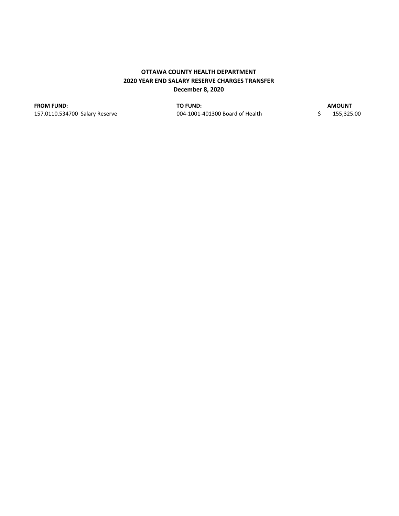#### **OTTAWA COUNTY HEALTH DEPARTMENT 2020 YEAR END SALARY RESERVE CHARGES TRANSFER December 8, 2020**

**FROM FUND: TO FUND:**

157.0110.534700 Salary Reserve 004‐1001‐401300 Board of Health 1 \$ 55,325.00

**AMOUNT**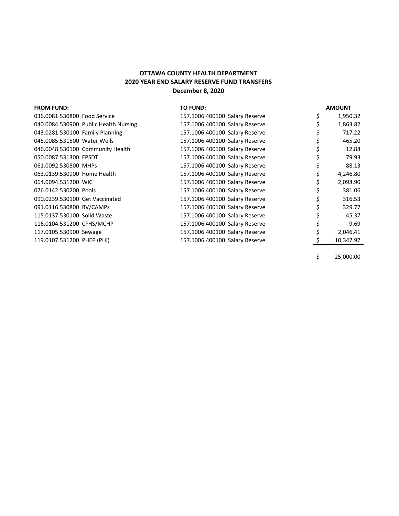#### **OTTAWA COUNTY HEALTH DEPARTMENT 2020 YEAR END SALARY RESERVE FUND TRANSFERS December 8, 2020**

| <b>FROM FUND:</b>                     | <b>TO FUND:</b>                | <b>AMOUNT</b> |
|---------------------------------------|--------------------------------|---------------|
| 036.0081.530800 Food Service          | 157.1006.400100 Salary Reserve | 1,950.32      |
| 040.0084.530900 Public Health Nursing | 157.1006.400100 Salary Reserve | 1,863.82      |
| 043.0281.530100 Family Planning       | 157.1006.400100 Salary Reserve | 717.22        |
| 045.0085.531500 Water Wells           | 157.1006.400100 Salary Reserve | 465.20        |
| 046.0048.530100 Community Health      | 157.1006.400100 Salary Reserve | 12.88         |
| 050.0087.531300 EPSDT                 | 157.1006.400100 Salary Reserve | 79.93         |
| 061.0092.530800 MHPs                  | 157.1006.400100 Salary Reserve | 88.13         |
| 063.0139.530900 Home Health           | 157.1006.400100 Salary Reserve | 4,246.80      |
| 064.0094.531200 WIC                   | 157.1006.400100 Salary Reserve | 2,098.90      |
| 076.0142.530200 Pools                 | 157.1006.400100 Salary Reserve | 381.06        |
| 090.0239.530100 Get Vaccinated        | 157.1006.400100 Salary Reserve | 316.53        |
| 091.0116.530800 RV/CAMPs              | 157.1006.400100 Salary Reserve | 329.77        |
| 115.0137.530100 Solid Waste           | 157.1006.400100 Salary Reserve | 45.37         |
| 116.0104.531200 CFHS/MCHP             | 157.1006.400100 Salary Reserve | 9.69          |
| 117.0105.530900 Sewage                | 157.1006.400100 Salary Reserve | 2,046.41      |
| 119.0107.531200 PHEP (PHI)            | 157.1006.400100 Salary Reserve | 10,347.97     |
|                                       |                                |               |

 $$ 25,000.00$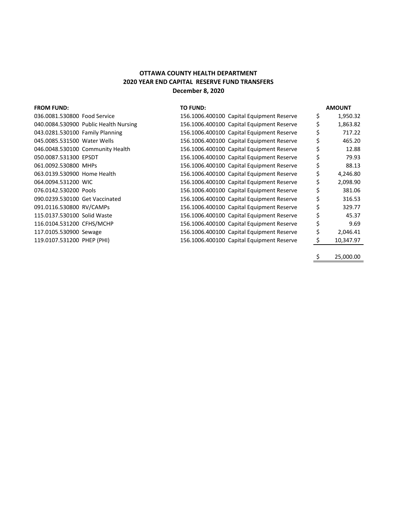#### **OTTAWA COUNTY HEALTH DEPARTMENT 2020 YEAR END CAPITAL RESERVE FUND TRANSFERS December 8, 2020**

| <b>FROM FUND:</b>                     | <b>TO FUND:</b>                           |    | <b>AMOUNT</b> |
|---------------------------------------|-------------------------------------------|----|---------------|
| 036.0081.530800 Food Service          | 156.1006.400100 Capital Equipment Reserve | \$ | 1,950.32      |
| 040.0084.530900 Public Health Nursing | 156.1006.400100 Capital Equipment Reserve | S  | 1,863.82      |
| 043.0281.530100 Family Planning       | 156.1006.400100 Capital Equipment Reserve |    | 717.22        |
| 045.0085.531500 Water Wells           | 156.1006.400100 Capital Equipment Reserve |    | 465.20        |
| 046.0048.530100 Community Health      | 156.1006.400100 Capital Equipment Reserve |    | 12.88         |
| 050.0087.531300 EPSDT                 | 156.1006.400100 Capital Equipment Reserve |    | 79.93         |
| 061.0092.530800 MHPs                  | 156.1006.400100 Capital Equipment Reserve |    | 88.13         |
| 063.0139.530900 Home Health           | 156.1006.400100 Capital Equipment Reserve |    | 4,246.80      |
| 064.0094.531200 WIC                   | 156.1006.400100 Capital Equipment Reserve |    | 2,098.90      |
| 076.0142.530200 Pools                 | 156.1006.400100 Capital Equipment Reserve |    | 381.06        |
| 090.0239.530100 Get Vaccinated        | 156.1006.400100 Capital Equipment Reserve |    | 316.53        |
| 091.0116.530800 RV/CAMPs              | 156.1006.400100 Capital Equipment Reserve |    | 329.77        |
| 115.0137.530100 Solid Waste           | 156.1006.400100 Capital Equipment Reserve |    | 45.37         |
| 116.0104.531200 CFHS/MCHP             | 156.1006.400100 Capital Equipment Reserve |    | 9.69          |
| 117.0105.530900 Sewage                | 156.1006.400100 Capital Equipment Reserve |    | 2,046.41      |
| 119.0107.531200 PHEP (PHI)            | 156.1006.400100 Capital Equipment Reserve |    | 10,347.97     |
|                                       |                                           |    |               |

\$ 25,000.00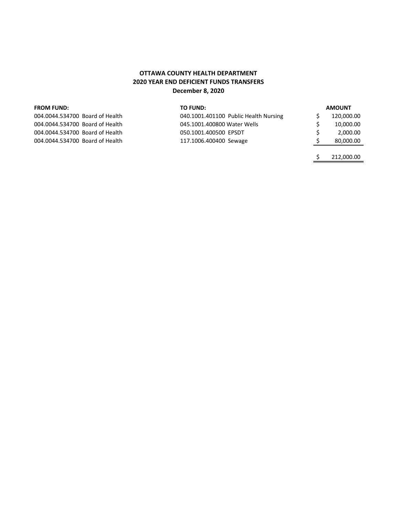#### **OTTAWA COUNTY HEALTH DEPARTMENT 2020 YEAR END DEFICIENT FUNDS TRANSFERS December 8, 2020**

| <b>FROM FUND:</b>               | TO FUND:                              | <b>AMOUNT</b> |
|---------------------------------|---------------------------------------|---------------|
| 004.0044.534700 Board of Health | 040.1001.401100 Public Health Nursing | 120,000.00    |
| 004.0044.534700 Board of Health | 045.1001.400800 Water Wells           | 10,000.00     |
| 004.0044.534700 Board of Health | 050.1001.400500 EPSDT                 | 2.000.00      |
| 004.0044.534700 Board of Health | 117.1006.400400 Sewage                | 80,000.00     |
|                                 |                                       |               |

 $$ 212,000.00$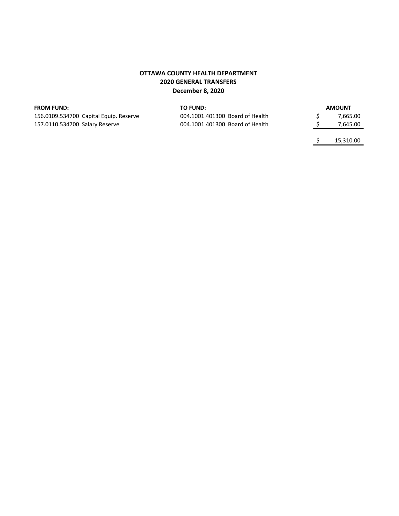#### **OTTAWA COUNTY HEALTH DEPARTMENT 2020 GENERAL TRANSFERS December 8, 2020**

#### **FROM FUND:**

156.0109.534700 Capital Equip. Reserve 157.0110.534700 Salary Reserve

| TO FUND:                        |  | <b>AMOUNT</b> |
|---------------------------------|--|---------------|
| 004.1001.401300 Board of Health |  | 7.665.00      |
| 004.1001.401300 Board of Health |  | 7,645.00      |
|                                 |  |               |

\$ 15,310.00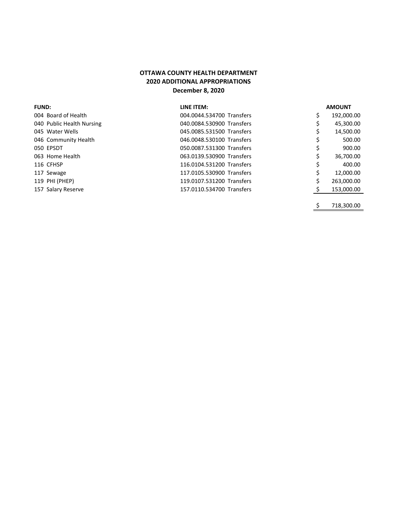#### **OTTAWA COUNTY HEALTH DEPARTMENT 2020 ADDITIONAL APPROPRIATIONS December 8, 2020**

| <b>FUND:</b>              | LINE ITEM:                | <b>AMOUNT</b> |
|---------------------------|---------------------------|---------------|
| 004 Board of Health       | 004.0044.534700 Transfers | 192,000.00    |
| 040 Public Health Nursing | 040.0084.530900 Transfers | 45,300.00     |
| 045 Water Wells           | 045.0085.531500 Transfers | 14,500.00     |
| 046 Community Health      | 046.0048.530100 Transfers | 500.00        |
| 050 EPSDT                 | 050.0087.531300 Transfers | 900.00        |
| 063 Home Health           | 063.0139.530900 Transfers | 36,700.00     |
| 116 CFHSP                 | 116.0104.531200 Transfers | 400.00        |
| 117 Sewage                | 117.0105.530900 Transfers | 12,000.00     |
| 119 PHI (PHEP)            | 119.0107.531200 Transfers | 263,000.00    |
| 157 Salary Reserve        | 157.0110.534700 Transfers | 153,000.00    |
|                           |                           |               |

 $$ 718,300.00$